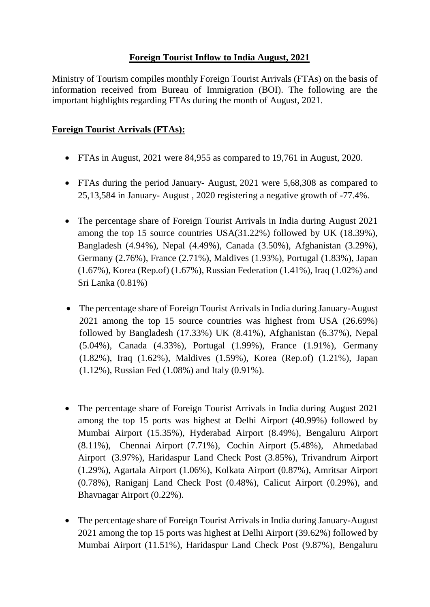## **Foreign Tourist Inflow to India August, 2021**

Ministry of Tourism compiles monthly Foreign Tourist Arrivals (FTAs) on the basis of information received from Bureau of Immigration (BOI). The following are the important highlights regarding FTAs during the month of August, 2021.

## **Foreign Tourist Arrivals (FTAs):**

- FTAs in August, 2021 were 84,955 as compared to 19,761 in August, 2020.
- FTAs during the period January- August, 2021 were 5,68,308 as compared to 25,13,584 in January- August , 2020 registering a negative growth of -77.4%.
- The percentage share of Foreign Tourist Arrivals in India during August 2021 among the top 15 source countries USA(31.22%) followed by UK (18.39%), Bangladesh (4.94%), Nepal (4.49%), Canada (3.50%), Afghanistan (3.29%), Germany (2.76%), France (2.71%), Maldives (1.93%), Portugal (1.83%), Japan (1.67%), Korea (Rep.of) (1.67%), Russian Federation (1.41%), Iraq (1.02%) and Sri Lanka (0.81%)
- The percentage share of Foreign Tourist Arrivals in India during January-August 2021 among the top 15 source countries was highest from USA (26.69%) followed by Bangladesh (17.33%) UK (8.41%), Afghanistan (6.37%), Nepal (5.04%), Canada (4.33%), Portugal (1.99%), France (1.91%), Germany (1.82%), Iraq (1.62%), Maldives (1.59%), Korea (Rep.of) (1.21%), Japan (1.12%), Russian Fed (1.08%) and Italy (0.91%).
- The percentage share of Foreign Tourist Arrivals in India during August 2021 among the top 15 ports was highest at Delhi Airport (40.99%) followed by Mumbai Airport (15.35%), Hyderabad Airport (8.49%), Bengaluru Airport (8.11%), Chennai Airport (7.71%), Cochin Airport (5.48%), Ahmedabad Airport (3.97%), Haridaspur Land Check Post (3.85%), Trivandrum Airport (1.29%), Agartala Airport (1.06%), Kolkata Airport (0.87%), Amritsar Airport (0.78%), Raniganj Land Check Post (0.48%), Calicut Airport (0.29%), and Bhavnagar Airport (0.22%).
- The percentage share of Foreign Tourist Arrivals in India during January-August 2021 among the top 15 ports was highest at Delhi Airport (39.62%) followed by Mumbai Airport (11.51%), Haridaspur Land Check Post (9.87%), Bengaluru